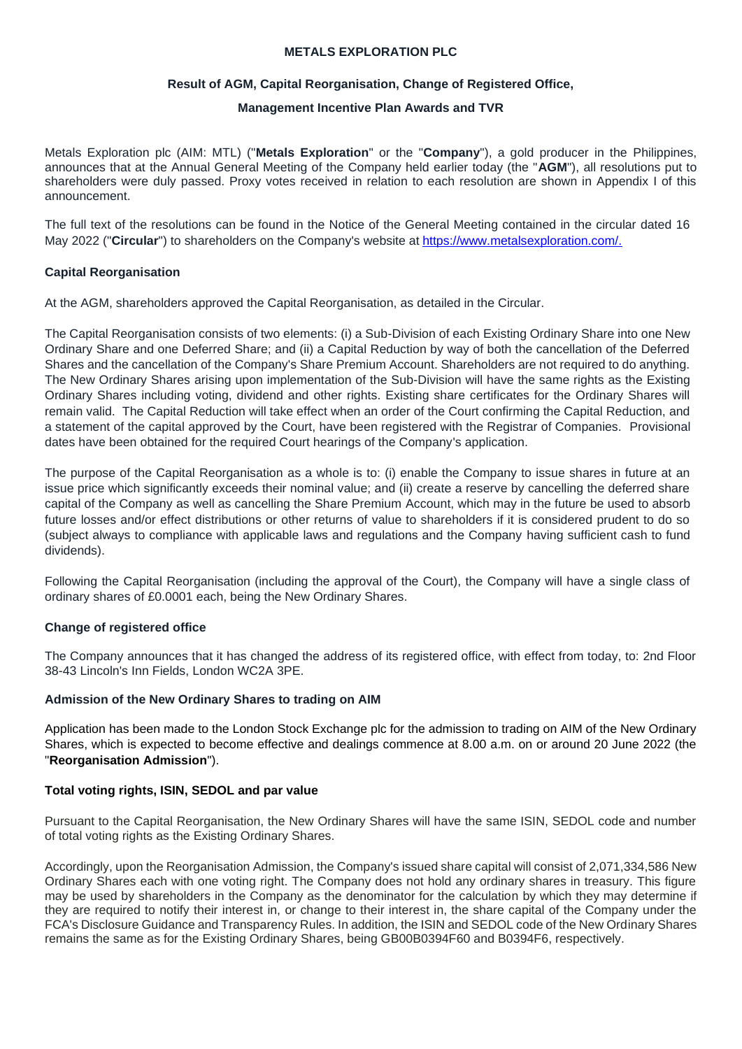# **METALS EXPLORATION PLC**

# **Result of AGM, Capital Reorganisation, Change of Registered Office,**

# **Management Incentive Plan Awards and TVR**

Metals Exploration plc (AIM: MTL) ("**Metals Exploration**" or the "**Company**"), a gold producer in the Philippines, announces that at the Annual General Meeting of the Company held earlier today (the "**AGM**"), all resolutions put to shareholders were duly passed. Proxy votes received in relation to each resolution are shown in Appendix I of this announcement.

The full text of the resolutions can be found in the Notice of the General Meeting contained in the circular dated 16 May 2022 ("Circular") to shareholders on the Company's website at [https://www.metalsexploration.com/.](https://www.metalsexploration.com/)

# **Capital Reorganisation**

At the AGM, shareholders approved the Capital Reorganisation, as detailed in the Circular.

The Capital Reorganisation consists of two elements: (i) a Sub-Division of each Existing Ordinary Share into one New Ordinary Share and one Deferred Share; and (ii) a Capital Reduction by way of both the cancellation of the Deferred Shares and the cancellation of the Company's Share Premium Account. Shareholders are not required to do anything. The New Ordinary Shares arising upon implementation of the Sub-Division will have the same rights as the Existing Ordinary Shares including voting, dividend and other rights. Existing share certificates for the Ordinary Shares will remain valid. The Capital Reduction will take effect when an order of the Court confirming the Capital Reduction, and a statement of the capital approved by the Court, have been registered with the Registrar of Companies. Provisional dates have been obtained for the required Court hearings of the Company's application.

The purpose of the Capital Reorganisation as a whole is to: (i) enable the Company to issue shares in future at an issue price which significantly exceeds their nominal value; and (ii) create a reserve by cancelling the deferred share capital of the Company as well as cancelling the Share Premium Account, which may in the future be used to absorb future losses and/or effect distributions or other returns of value to shareholders if it is considered prudent to do so (subject always to compliance with applicable laws and regulations and the Company having sufficient cash to fund dividends).

Following the Capital Reorganisation (including the approval of the Court), the Company will have a single class of ordinary shares of £0.0001 each, being the New Ordinary Shares.

# **Change of registered office**

The Company announces that it has changed the address of its registered office, with effect from today, to: 2nd Floor 38-43 Lincoln's Inn Fields, London WC2A 3PE.

#### **Admission of the New Ordinary Shares to trading on AIM**

Application has been made to the London Stock Exchange plc for the admission to trading on AIM of the New Ordinary Shares, which is expected to become effective and dealings commence at 8.00 a.m. on or around 20 June 2022 (the "**Reorganisation Admission**").

#### **Total voting rights, ISIN, SEDOL and par value**

Pursuant to the Capital Reorganisation, the New Ordinary Shares will have the same ISIN, SEDOL code and number of total voting rights as the Existing Ordinary Shares.

Accordingly, upon the Reorganisation Admission, the Company's issued share capital will consist of 2,071,334,586 New Ordinary Shares each with one voting right. The Company does not hold any ordinary shares in treasury. This figure may be used by shareholders in the Company as the denominator for the calculation by which they may determine if they are required to notify their interest in, or change to their interest in, the share capital of the Company under the FCA's Disclosure Guidance and Transparency Rules. In addition, the ISIN and SEDOL code of the New Ordinary Shares remains the same as for the Existing Ordinary Shares, being GB00B0394F60 and B0394F6, respectively.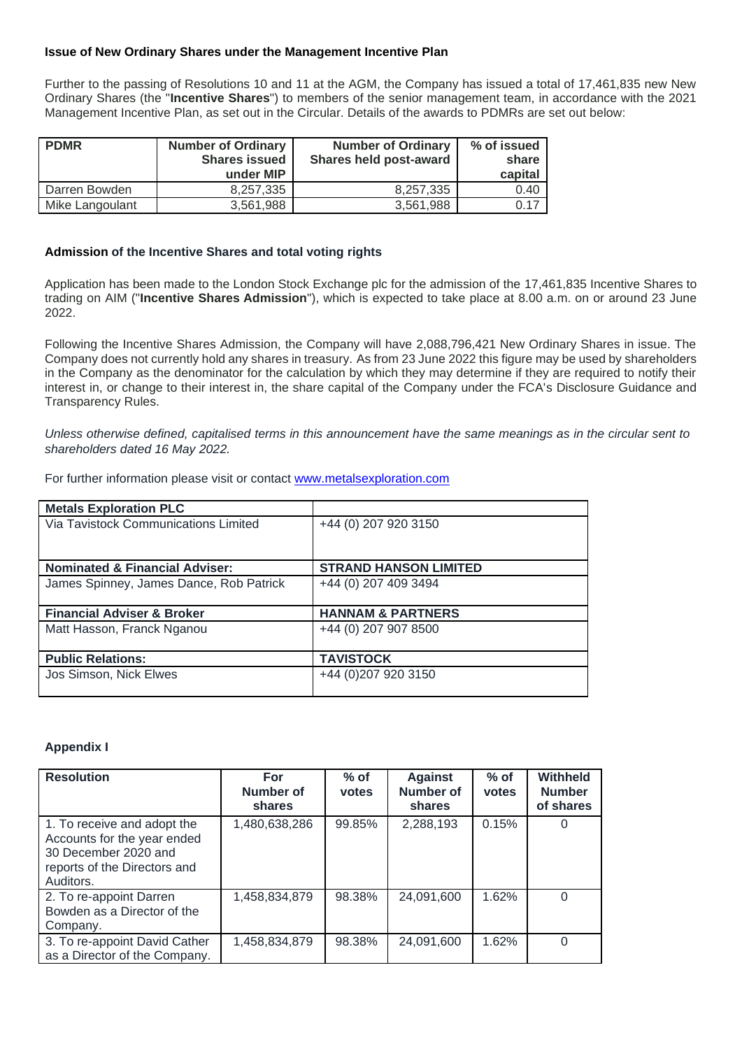## **Issue of New Ordinary Shares under the Management Incentive Plan**

Further to the passing of Resolutions 10 and 11 at the AGM, the Company has issued a total of 17,461,835 new New Ordinary Shares (the "**Incentive Shares**") to members of the senior management team, in accordance with the 2021 Management Incentive Plan, as set out in the Circular. Details of the awards to PDMRs are set out below:

| <b>PDMR</b>     | <b>Number of Ordinary</b><br><b>Shares issued</b><br>under MIP | <b>Number of Ordinary</b><br>Shares held post-award | % of issued<br>share<br>capital |
|-----------------|----------------------------------------------------------------|-----------------------------------------------------|---------------------------------|
| Darren Bowden   | 8.257.335                                                      | 8.257.335                                           | 0.40                            |
| Mike Langoulant | 3.561.988                                                      | 3.561.988                                           | 0.17                            |

#### **Admission of the Incentive Shares and total voting rights**

Application has been made to the London Stock Exchange plc for the admission of the 17,461,835 Incentive Shares to trading on AIM ("**Incentive Shares Admission**"), which is expected to take place at 8.00 a.m. on or around 23 June 2022.

Following the Incentive Shares Admission, the Company will have 2,088,796,421 New Ordinary Shares in issue. The Company does not currently hold any shares in treasury. As from 23 June 2022 this figure may be used by shareholders in the Company as the denominator for the calculation by which they may determine if they are required to notify their interest in, or change to their interest in, the share capital of the Company under the FCA's Disclosure Guidance and Transparency Rules.

*Unless otherwise defined, capitalised terms in this announcement have the same meanings as in the circular sent to shareholders dated 16 May 2022.*

| For further information please visit or contact www.metalsexploration.com |
|---------------------------------------------------------------------------|
|---------------------------------------------------------------------------|

| <b>Metals Exploration PLC</b>             |                              |
|-------------------------------------------|------------------------------|
| Via Tavistock Communications Limited      | +44 (0) 207 920 3150         |
|                                           |                              |
| <b>Nominated &amp; Financial Adviser:</b> | <b>STRAND HANSON LIMITED</b> |
| James Spinney, James Dance, Rob Patrick   | +44 (0) 207 409 3494         |
|                                           |                              |
| <b>Financial Adviser &amp; Broker</b>     | <b>HANNAM &amp; PARTNERS</b> |
| Matt Hasson, Franck Nganou                | +44 (0) 207 907 8500         |
|                                           |                              |
| <b>Public Relations:</b>                  | <b>TAVISTOCK</b>             |
| Jos Simson, Nick Elwes                    | +44 (0) 207 920 3150         |
|                                           |                              |

#### **Appendix I**

| <b>Resolution</b>                                                                                                               | For<br><b>Number of</b><br>shares | $%$ of<br>votes | <b>Against</b><br><b>Number of</b><br>shares | $%$ of<br>votes | <b>Withheld</b><br><b>Number</b><br>of shares |
|---------------------------------------------------------------------------------------------------------------------------------|-----------------------------------|-----------------|----------------------------------------------|-----------------|-----------------------------------------------|
| 1. To receive and adopt the<br>Accounts for the year ended<br>30 December 2020 and<br>reports of the Directors and<br>Auditors. | 1,480,638,286                     | 99.85%          | 2,288,193                                    | 0.15%           | 0                                             |
| 2. To re-appoint Darren<br>Bowden as a Director of the<br>Company.                                                              | 1,458,834,879                     | 98.38%          | 24,091,600                                   | 1.62%           | 0                                             |
| 3. To re-appoint David Cather<br>as a Director of the Company.                                                                  | 1,458,834,879                     | 98.38%          | 24,091,600                                   | 1.62%           | 0                                             |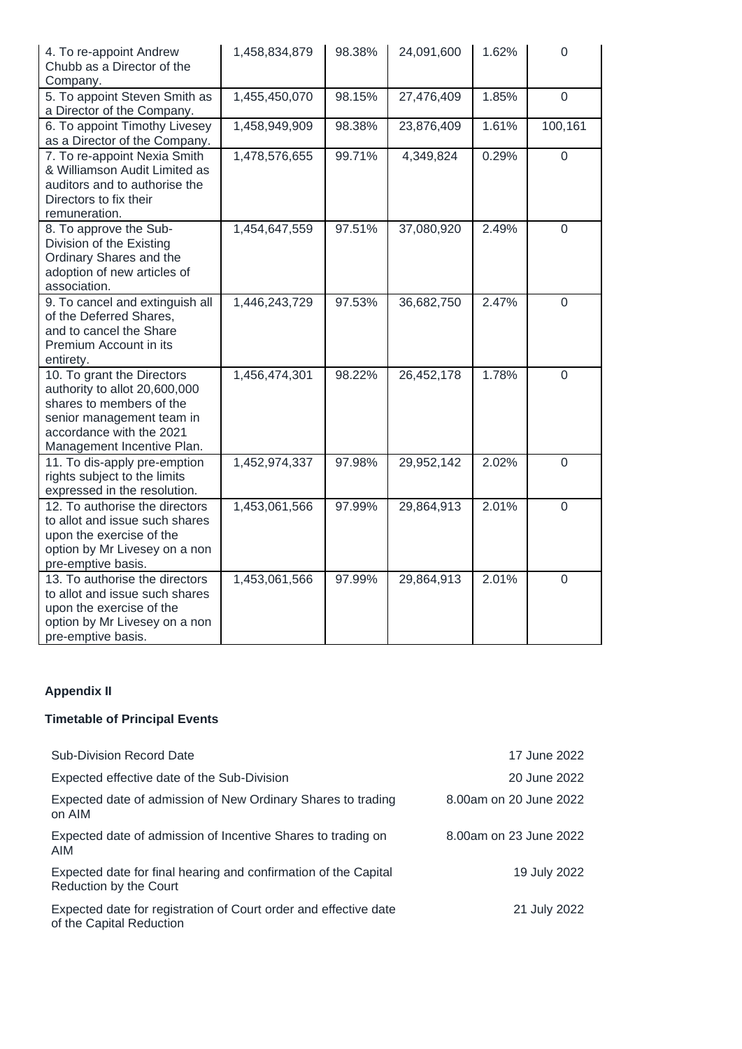| 4. To re-appoint Andrew<br>Chubb as a Director of the<br>Company.                                                                                                              | 1,458,834,879 | 98.38% | 24,091,600 | 1.62% | $\mathbf 0$    |
|--------------------------------------------------------------------------------------------------------------------------------------------------------------------------------|---------------|--------|------------|-------|----------------|
| 5. To appoint Steven Smith as<br>a Director of the Company.                                                                                                                    | 1,455,450,070 | 98.15% | 27,476,409 | 1.85% | $\mathbf 0$    |
| 6. To appoint Timothy Livesey<br>as a Director of the Company.                                                                                                                 | 1,458,949,909 | 98.38% | 23,876,409 | 1.61% | 100,161        |
| 7. To re-appoint Nexia Smith<br>& Williamson Audit Limited as<br>auditors and to authorise the<br>Directors to fix their<br>remuneration.                                      | 1,478,576,655 | 99.71% | 4,349,824  | 0.29% | $\mathbf 0$    |
| 8. To approve the Sub-<br>Division of the Existing<br>Ordinary Shares and the<br>adoption of new articles of<br>association.                                                   | 1,454,647,559 | 97.51% | 37,080,920 | 2.49% | $\mathbf 0$    |
| 9. To cancel and extinguish all<br>of the Deferred Shares,<br>and to cancel the Share<br>Premium Account in its<br>entirety.                                                   | 1,446,243,729 | 97.53% | 36,682,750 | 2.47% | $\mathbf 0$    |
| 10. To grant the Directors<br>authority to allot 20,600,000<br>shares to members of the<br>senior management team in<br>accordance with the 2021<br>Management Incentive Plan. | 1,456,474,301 | 98.22% | 26,452,178 | 1.78% | $\overline{0}$ |
| 11. To dis-apply pre-emption<br>rights subject to the limits<br>expressed in the resolution.                                                                                   | 1,452,974,337 | 97.98% | 29,952,142 | 2.02% | $\mathbf 0$    |
| 12. To authorise the directors<br>to allot and issue such shares<br>upon the exercise of the<br>option by Mr Livesey on a non<br>pre-emptive basis.                            | 1,453,061,566 | 97.99% | 29,864,913 | 2.01% | $\mathbf 0$    |
| 13. To authorise the directors<br>to allot and issue such shares<br>upon the exercise of the<br>option by Mr Livesey on a non<br>pre-emptive basis.                            | 1,453,061,566 | 97.99% | 29,864,913 | 2.01% | $\mathbf 0$    |

# **Appendix II**

# **Timetable of Principal Events**

| <b>Sub-Division Record Date</b>                                                              | 17 June 2022           |
|----------------------------------------------------------------------------------------------|------------------------|
| Expected effective date of the Sub-Division                                                  | 20 June 2022           |
| Expected date of admission of New Ordinary Shares to trading<br>on AIM                       | 8.00am on 20 June 2022 |
| Expected date of admission of Incentive Shares to trading on<br>AIM                          | 8.00am on 23 June 2022 |
| Expected date for final hearing and confirmation of the Capital<br>Reduction by the Court    | 19 July 2022           |
| Expected date for registration of Court order and effective date<br>of the Capital Reduction | 21 July 2022           |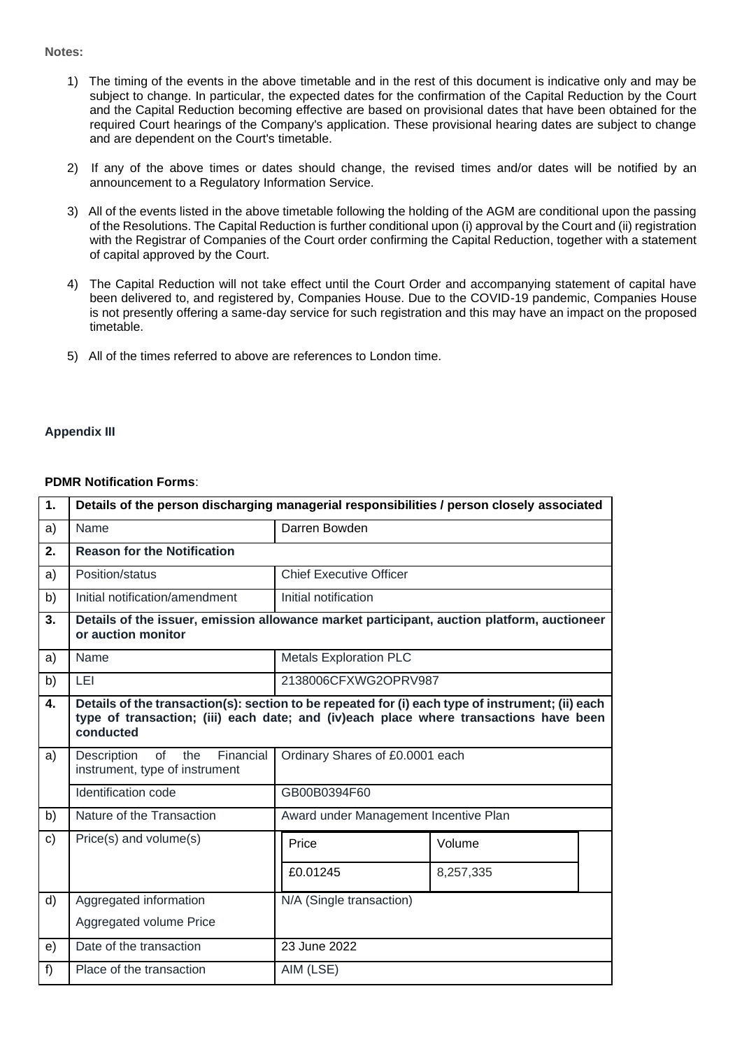#### **Notes:**

- 1) The timing of the events in the above timetable and in the rest of this document is indicative only and may be subject to change. In particular, the expected dates for the confirmation of the Capital Reduction by the Court and the Capital Reduction becoming effective are based on provisional dates that have been obtained for the required Court hearings of the Company's application. These provisional hearing dates are subject to change and are dependent on the Court's timetable.
- 2) If any of the above times or dates should change, the revised times and/or dates will be notified by an announcement to a Regulatory Information Service.
- 3) All of the events listed in the above timetable following the holding of the AGM are conditional upon the passing of the Resolutions. The Capital Reduction is further conditional upon (i) approval by the Court and (ii) registration with the Registrar of Companies of the Court order confirming the Capital Reduction, together with a statement of capital approved by the Court.
- 4) The Capital Reduction will not take effect until the Court Order and accompanying statement of capital have been delivered to, and registered by, Companies House. Due to the COVID-19 pandemic, Companies House is not presently offering a same-day service for such registration and this may have an impact on the proposed timetable.
- 5) All of the times referred to above are references to London time.

# **Appendix III**

#### **PDMR Notification Forms**:

| 1.            | Details of the person discharging managerial responsibilities / person closely associated                                                                                                              |                                       |           |  |  |
|---------------|--------------------------------------------------------------------------------------------------------------------------------------------------------------------------------------------------------|---------------------------------------|-----------|--|--|
| a)            | Name                                                                                                                                                                                                   | Darren Bowden                         |           |  |  |
| 2.            | <b>Reason for the Notification</b>                                                                                                                                                                     |                                       |           |  |  |
| a)            | Position/status                                                                                                                                                                                        | <b>Chief Executive Officer</b>        |           |  |  |
| b)            | Initial notification/amendment                                                                                                                                                                         | Initial notification                  |           |  |  |
| 3.            | Details of the issuer, emission allowance market participant, auction platform, auctioneer<br>or auction monitor                                                                                       |                                       |           |  |  |
| a)            | Name                                                                                                                                                                                                   | <b>Metals Exploration PLC</b>         |           |  |  |
| b)            | LEI                                                                                                                                                                                                    | 2138006CFXWG2OPRV987                  |           |  |  |
| 4.            | Details of the transaction(s): section to be repeated for (i) each type of instrument; (ii) each<br>type of transaction; (iii) each date; and (iv)each place where transactions have been<br>conducted |                                       |           |  |  |
| a)            | of<br>Financial<br>Description<br>the<br>instrument, type of instrument                                                                                                                                | Ordinary Shares of £0.0001 each       |           |  |  |
|               | <b>Identification code</b>                                                                                                                                                                             | GB00B0394F60                          |           |  |  |
| b)            | Nature of the Transaction                                                                                                                                                                              | Award under Management Incentive Plan |           |  |  |
| $\mathsf{c})$ | Price(s) and volume(s)                                                                                                                                                                                 | Price                                 | Volume    |  |  |
|               |                                                                                                                                                                                                        | £0.01245                              | 8,257,335 |  |  |
| d)            | Aggregated information                                                                                                                                                                                 | N/A (Single transaction)              |           |  |  |
|               | Aggregated volume Price                                                                                                                                                                                |                                       |           |  |  |
| e)            | Date of the transaction                                                                                                                                                                                | 23 June 2022                          |           |  |  |
| f)            | Place of the transaction                                                                                                                                                                               | AIM (LSE)                             |           |  |  |